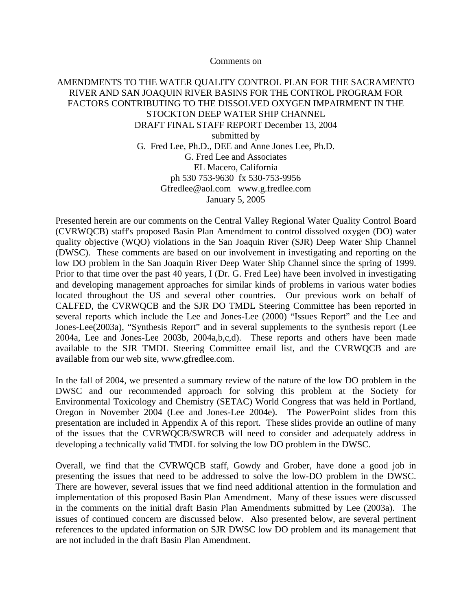Comments on

## AMENDMENTS TO THE WATER QUALITY CONTROL PLAN FOR THE SACRAMENTO RIVER AND SAN JOAQUIN RIVER BASINS FOR THE CONTROL PROGRAM FOR FACTORS CONTRIBUTING TO THE DISSOLVED OXYGEN IMPAIRMENT IN THE STOCKTON DEEP WATER SHIP CHANNEL DRAFT FINAL STAFF REPORT December 13, 2004 submitted by G. Fred Lee, Ph.D., DEE and Anne Jones Lee, Ph.D. G. Fred Lee and Associates EL Macero, California ph 530 753-9630 fx 530-753-9956 Gfredlee@aol.com www.g.fredlee.com January 5, 2005

Presented herein are our comments on the Central Valley Regional Water Quality Control Board (CVRWQCB) staff's proposed Basin Plan Amendment to control dissolved oxygen (DO) water quality objective (WQO) violations in the San Joaquin River (SJR) Deep Water Ship Channel (DWSC). These comments are based on our involvement in investigating and reporting on the low DO problem in the San Joaquin River Deep Water Ship Channel since the spring of 1999. Prior to that time over the past 40 years, I (Dr. G. Fred Lee) have been involved in investigating and developing management approaches for similar kinds of problems in various water bodies located throughout the US and several other countries. Our previous work on behalf of CALFED, the CVRWQCB and the SJR DO TMDL Steering Committee has been reported in several reports which include the Lee and Jones-Lee (2000) "Issues Report" and the Lee and Jones-Lee(2003a), "Synthesis Report" and in several supplements to the synthesis report (Lee 2004a, Lee and Jones-Lee 2003b, 2004a,b,c,d). These reports and others have been made available to the SJR TMDL Steering Committee email list, and the CVRWQCB and are available from our web site, www.gfredlee.com.

In the fall of 2004, we presented a summary review of the nature of the low DO problem in the DWSC and our recommended approach for solving this problem at the Society for Environmental Toxicology and Chemistry (SETAC) World Congress that was held in Portland, Oregon in November 2004 (Lee and Jones-Lee 2004e). The PowerPoint slides from this presentation are included in Appendix A of this report. These slides provide an outline of many of the issues that the CVRWQCB/SWRCB will need to consider and adequately address in developing a technically valid TMDL for solving the low DO problem in the DWSC.

Overall, we find that the CVRWQCB staff, Gowdy and Grober, have done a good job in presenting the issues that need to be addressed to solve the low-DO problem in the DWSC. There are however, several issues that we find need additional attention in the formulation and implementation of this proposed Basin Plan Amendment. Many of these issues were discussed in the comments on the initial draft Basin Plan Amendments submitted by Lee (2003a). The issues of continued concern are discussed below. Also presented below, are several pertinent references to the updated information on SJR DWSC low DO problem and its management that are not included in the draft Basin Plan Amendment.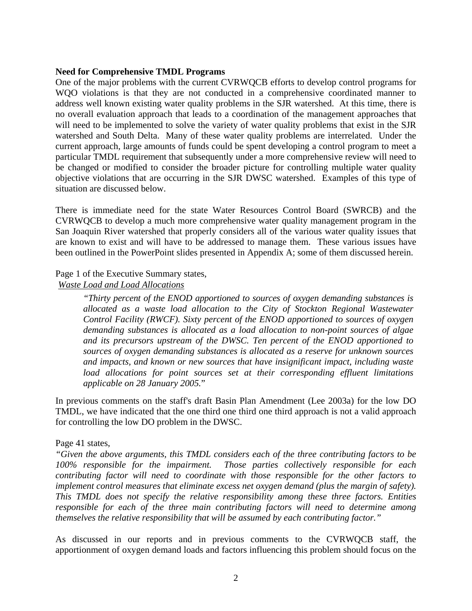#### **Need for Comprehensive TMDL Programs**

One of the major problems with the current CVRWQCB efforts to develop control programs for WQO violations is that they are not conducted in a comprehensive coordinated manner to address well known existing water quality problems in the SJR watershed. At this time, there is no overall evaluation approach that leads to a coordination of the management approaches that will need to be implemented to solve the variety of water quality problems that exist in the SJR watershed and South Delta. Many of these water quality problems are interrelated. Under the current approach, large amounts of funds could be spent developing a control program to meet a particular TMDL requirement that subsequently under a more comprehensive review will need to be changed or modified to consider the broader picture for controlling multiple water quality objective violations that are occurring in the SJR DWSC watershed. Examples of this type of situation are discussed below.

There is immediate need for the state Water Resources Control Board (SWRCB) and the CVRWQCB to develop a much more comprehensive water quality management program in the San Joaquin River watershed that properly considers all of the various water quality issues that are known to exist and will have to be addressed to manage them. These various issues have been outlined in the PowerPoint slides presented in Appendix A; some of them discussed herein.

#### Page 1 of the Executive Summary states,

## *Waste Load and Load Allocations*

*"Thirty percent of the ENOD apportioned to sources of oxygen demanding substances is allocated as a waste load allocation to the City of Stockton Regional Wastewater Control Facility (RWCF). Sixty percent of the ENOD apportioned to sources of oxygen demanding substances is allocated as a load allocation to non-point sources of algae and its precursors upstream of the DWSC. Ten percent of the ENOD apportioned to sources of oxygen demanding substances is allocated as a reserve for unknown sources and impacts, and known or new sources that have insignificant impact, including waste load allocations for point sources set at their corresponding effluent limitations applicable on 28 January 2005.*"

In previous comments on the staff's draft Basin Plan Amendment (Lee 2003a) for the low DO TMDL, we have indicated that the one third one third one third approach is not a valid approach for controlling the low DO problem in the DWSC.

#### Page 41 states,

*"Given the above arguments, this TMDL considers each of the three contributing factors to be 100% responsible for the impairment. Those parties collectively responsible for each contributing factor will need to coordinate with those responsible for the other factors to implement control measures that eliminate excess net oxygen demand (plus the margin of safety). This TMDL does not specify the relative responsibility among these three factors. Entities responsible for each of the three main contributing factors will need to determine among themselves the relative responsibility that will be assumed by each contributing factor."* 

As discussed in our reports and in previous comments to the CVRWQCB staff, the apportionment of oxygen demand loads and factors influencing this problem should focus on the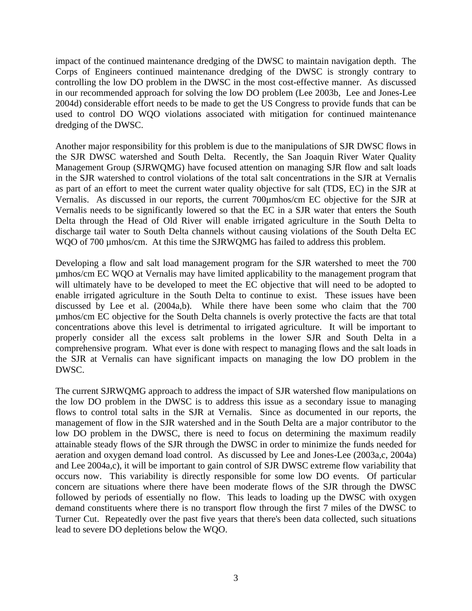impact of the continued maintenance dredging of the DWSC to maintain navigation depth. The Corps of Engineers continued maintenance dredging of the DWSC is strongly contrary to controlling the low DO problem in the DWSC in the most cost-effective manner. As discussed in our recommended approach for solving the low DO problem (Lee 2003b, Lee and Jones-Lee 2004d) considerable effort needs to be made to get the US Congress to provide funds that can be used to control DO WQO violations associated with mitigation for continued maintenance dredging of the DWSC.

Another major responsibility for this problem is due to the manipulations of SJR DWSC flows in the SJR DWSC watershed and South Delta. Recently, the San Joaquin River Water Quality Management Group (SJRWQMG) have focused attention on managing SJR flow and salt loads in the SJR watershed to control violations of the total salt concentrations in the SJR at Vernalis as part of an effort to meet the current water quality objective for salt (TDS, EC) in the SJR at Vernalis. As discussed in our reports, the current 700µmhos/cm EC objective for the SJR at Vernalis needs to be significantly lowered so that the EC in a SJR water that enters the South Delta through the Head of Old River will enable irrigated agriculture in the South Delta to discharge tail water to South Delta channels without causing violations of the South Delta EC WQO of 700 µmhos/cm. At this time the SJRWQMG has failed to address this problem.

Developing a flow and salt load management program for the SJR watershed to meet the 700 µmhos/cm EC WQO at Vernalis may have limited applicability to the management program that will ultimately have to be developed to meet the EC objective that will need to be adopted to enable irrigated agriculture in the South Delta to continue to exist. These issues have been discussed by Lee et al. (2004a,b). While there have been some who claim that the 700 µmhos/cm EC objective for the South Delta channels is overly protective the facts are that total concentrations above this level is detrimental to irrigated agriculture. It will be important to properly consider all the excess salt problems in the lower SJR and South Delta in a comprehensive program. What ever is done with respect to managing flows and the salt loads in the SJR at Vernalis can have significant impacts on managing the low DO problem in the DWSC.

The current SJRWQMG approach to address the impact of SJR watershed flow manipulations on the low DO problem in the DWSC is to address this issue as a secondary issue to managing flows to control total salts in the SJR at Vernalis. Since as documented in our reports, the management of flow in the SJR watershed and in the South Delta are a major contributor to the low DO problem in the DWSC, there is need to focus on determining the maximum readily attainable steady flows of the SJR through the DWSC in order to minimize the funds needed for aeration and oxygen demand load control. As discussed by Lee and Jones-Lee (2003a,c, 2004a) and Lee 2004a,c), it will be important to gain control of SJR DWSC extreme flow variability that occurs now. This variability is directly responsible for some low DO events. Of particular concern are situations where there have been moderate flows of the SJR through the DWSC followed by periods of essentially no flow. This leads to loading up the DWSC with oxygen demand constituents where there is no transport flow through the first 7 miles of the DWSC to Turner Cut. Repeatedly over the past five years that there's been data collected, such situations lead to severe DO depletions below the WQO.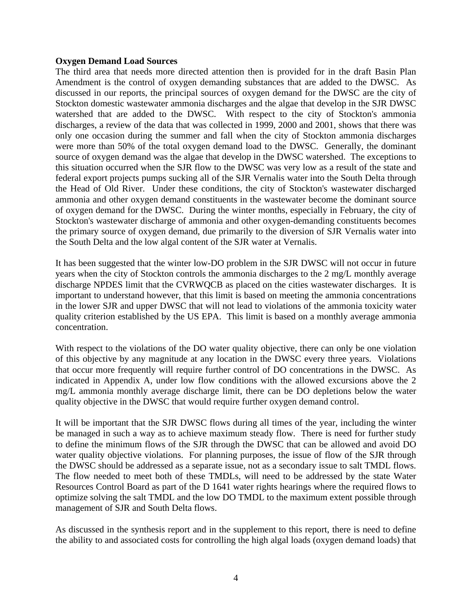#### **Oxygen Demand Load Sources**

The third area that needs more directed attention then is provided for in the draft Basin Plan Amendment is the control of oxygen demanding substances that are added to the DWSC. As discussed in our reports, the principal sources of oxygen demand for the DWSC are the city of Stockton domestic wastewater ammonia discharges and the algae that develop in the SJR DWSC watershed that are added to the DWSC. With respect to the city of Stockton's ammonia discharges, a review of the data that was collected in 1999, 2000 and 2001, shows that there was only one occasion during the summer and fall when the city of Stockton ammonia discharges were more than 50% of the total oxygen demand load to the DWSC. Generally, the dominant source of oxygen demand was the algae that develop in the DWSC watershed. The exceptions to this situation occurred when the SJR flow to the DWSC was very low as a result of the state and federal export projects pumps sucking all of the SJR Vernalis water into the South Delta through the Head of Old River. Under these conditions, the city of Stockton's wastewater discharged ammonia and other oxygen demand constituents in the wastewater become the dominant source of oxygen demand for the DWSC. During the winter months, especially in February, the city of Stockton's wastewater discharge of ammonia and other oxygen-demanding constituents becomes the primary source of oxygen demand, due primarily to the diversion of SJR Vernalis water into the South Delta and the low algal content of the SJR water at Vernalis.

It has been suggested that the winter low-DO problem in the SJR DWSC will not occur in future years when the city of Stockton controls the ammonia discharges to the 2 mg/L monthly average discharge NPDES limit that the CVRWQCB as placed on the cities wastewater discharges. It is important to understand however, that this limit is based on meeting the ammonia concentrations in the lower SJR and upper DWSC that will not lead to violations of the ammonia toxicity water quality criterion established by the US EPA. This limit is based on a monthly average ammonia concentration.

With respect to the violations of the DO water quality objective, there can only be one violation of this objective by any magnitude at any location in the DWSC every three years. Violations that occur more frequently will require further control of DO concentrations in the DWSC. As indicated in Appendix A, under low flow conditions with the allowed excursions above the 2 mg/L ammonia monthly average discharge limit, there can be DO depletions below the water quality objective in the DWSC that would require further oxygen demand control.

It will be important that the SJR DWSC flows during all times of the year, including the winter be managed in such a way as to achieve maximum steady flow. There is need for further study to define the minimum flows of the SJR through the DWSC that can be allowed and avoid DO water quality objective violations. For planning purposes, the issue of flow of the SJR through the DWSC should be addressed as a separate issue, not as a secondary issue to salt TMDL flows. The flow needed to meet both of these TMDLs, will need to be addressed by the state Water Resources Control Board as part of the D 1641 water rights hearings where the required flows to optimize solving the salt TMDL and the low DO TMDL to the maximum extent possible through management of SJR and South Delta flows.

As discussed in the synthesis report and in the supplement to this report, there is need to define the ability to and associated costs for controlling the high algal loads (oxygen demand loads) that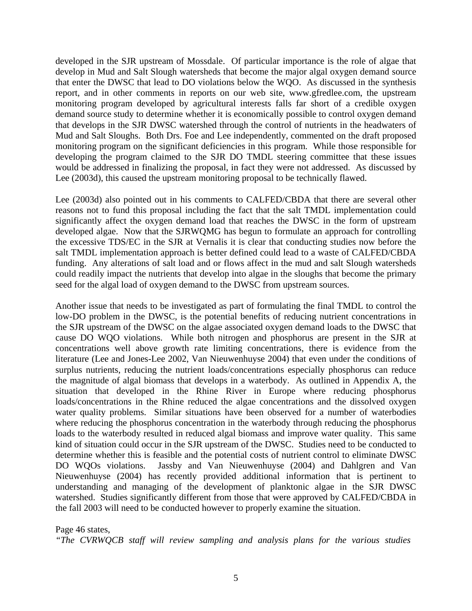developed in the SJR upstream of Mossdale. Of particular importance is the role of algae that develop in Mud and Salt Slough watersheds that become the major algal oxygen demand source that enter the DWSC that lead to DO violations below the WQO. As discussed in the synthesis report, and in other comments in reports on our web site, www.gfredlee.com, the upstream monitoring program developed by agricultural interests falls far short of a credible oxygen demand source study to determine whether it is economically possible to control oxygen demand that develops in the SJR DWSC watershed through the control of nutrients in the headwaters of Mud and Salt Sloughs. Both Drs. Foe and Lee independently, commented on the draft proposed monitoring program on the significant deficiencies in this program. While those responsible for developing the program claimed to the SJR DO TMDL steering committee that these issues would be addressed in finalizing the proposal, in fact they were not addressed. As discussed by Lee (2003d), this caused the upstream monitoring proposal to be technically flawed.

Lee (2003d) also pointed out in his comments to CALFED/CBDA that there are several other reasons not to fund this proposal including the fact that the salt TMDL implementation could significantly affect the oxygen demand load that reaches the DWSC in the form of upstream developed algae. Now that the SJRWQMG has begun to formulate an approach for controlling the excessive TDS/EC in the SJR at Vernalis it is clear that conducting studies now before the salt TMDL implementation approach is better defined could lead to a waste of CALFED/CBDA funding. Any alterations of salt load and or flows affect in the mud and salt Slough watersheds could readily impact the nutrients that develop into algae in the sloughs that become the primary seed for the algal load of oxygen demand to the DWSC from upstream sources.

Another issue that needs to be investigated as part of formulating the final TMDL to control the low-DO problem in the DWSC, is the potential benefits of reducing nutrient concentrations in the SJR upstream of the DWSC on the algae associated oxygen demand loads to the DWSC that cause DO WQO violations. While both nitrogen and phosphorus are present in the SJR at concentrations well above growth rate limiting concentrations, there is evidence from the literature (Lee and Jones-Lee 2002, Van Nieuwenhuyse 2004) that even under the conditions of surplus nutrients, reducing the nutrient loads/concentrations especially phosphorus can reduce the magnitude of algal biomass that develops in a waterbody. As outlined in Appendix A, the situation that developed in the Rhine River in Europe where reducing phosphorus loads/concentrations in the Rhine reduced the algae concentrations and the dissolved oxygen water quality problems. Similar situations have been observed for a number of waterbodies where reducing the phosphorus concentration in the waterbody through reducing the phosphorus loads to the waterbody resulted in reduced algal biomass and improve water quality. This same kind of situation could occur in the SJR upstream of the DWSC. Studies need to be conducted to determine whether this is feasible and the potential costs of nutrient control to eliminate DWSC DO WQOs violations. Jassby and Van Nieuwenhuyse (2004) and Dahlgren and Van Nieuwenhuyse (2004) has recently provided additional information that is pertinent to understanding and managing of the development of planktonic algae in the SJR DWSC watershed. Studies significantly different from those that were approved by CALFED/CBDA in the fall 2003 will need to be conducted however to properly examine the situation.

Page 46 states,

*"The CVRWQCB staff will review sampling and analysis plans for the various studies*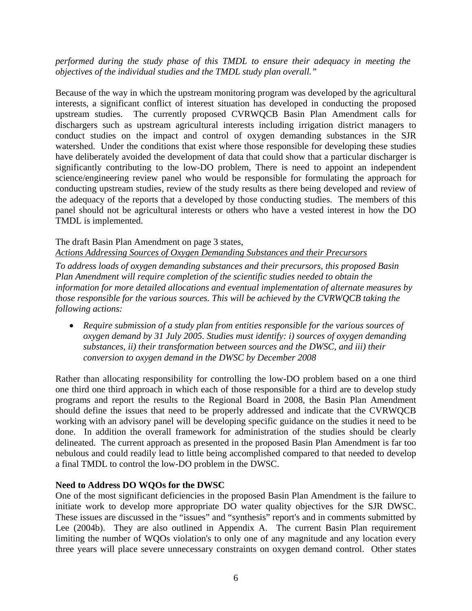### *performed during the study phase of this TMDL to ensure their adequacy in meeting the objectives of the individual studies and the TMDL study plan overall."*

Because of the way in which the upstream monitoring program was developed by the agricultural interests, a significant conflict of interest situation has developed in conducting the proposed upstream studies. The currently proposed CVRWQCB Basin Plan Amendment calls for dischargers such as upstream agricultural interests including irrigation district managers to conduct studies on the impact and control of oxygen demanding substances in the SJR watershed. Under the conditions that exist where those responsible for developing these studies have deliberately avoided the development of data that could show that a particular discharger is significantly contributing to the low-DO problem, There is need to appoint an independent science/engineering review panel who would be responsible for formulating the approach for conducting upstream studies, review of the study results as there being developed and review of the adequacy of the reports that a developed by those conducting studies. The members of this panel should not be agricultural interests or others who have a vested interest in how the DO TMDL is implemented.

### The draft Basin Plan Amendment on page 3 states,

*Actions Addressing Sources of Oxygen Demanding Substances and their Precursors*

*To address loads of oxygen demanding substances and their precursors, this proposed Basin Plan Amendment will require completion of the scientific studies needed to obtain the information for more detailed allocations and eventual implementation of alternate measures by those responsible for the various sources. This will be achieved by the CVRWQCB taking the following actions:* 

• *Require submission of a study plan from entities responsible for the various sources of oxygen demand by 31 July 2005. Studies must identify: i) sources of oxygen demanding substances, ii) their transformation between sources and the DWSC, and iii) their conversion to oxygen demand in the DWSC by December 2008* 

Rather than allocating responsibility for controlling the low-DO problem based on a one third one third one third approach in which each of those responsible for a third are to develop study programs and report the results to the Regional Board in 2008, the Basin Plan Amendment should define the issues that need to be properly addressed and indicate that the CVRWQCB working with an advisory panel will be developing specific guidance on the studies it need to be done. In addition the overall framework for administration of the studies should be clearly delineated. The current approach as presented in the proposed Basin Plan Amendment is far too nebulous and could readily lead to little being accomplished compared to that needed to develop a final TMDL to control the low-DO problem in the DWSC.

### **Need to Address DO WQOs for the DWSC**

One of the most significant deficiencies in the proposed Basin Plan Amendment is the failure to initiate work to develop more appropriate DO water quality objectives for the SJR DWSC. These issues are discussed in the "issues" and "synthesis" report's and in comments submitted by Lee (2004b). They are also outlined in Appendix A. The current Basin Plan requirement limiting the number of WQOs violation's to only one of any magnitude and any location every three years will place severe unnecessary constraints on oxygen demand control. Other states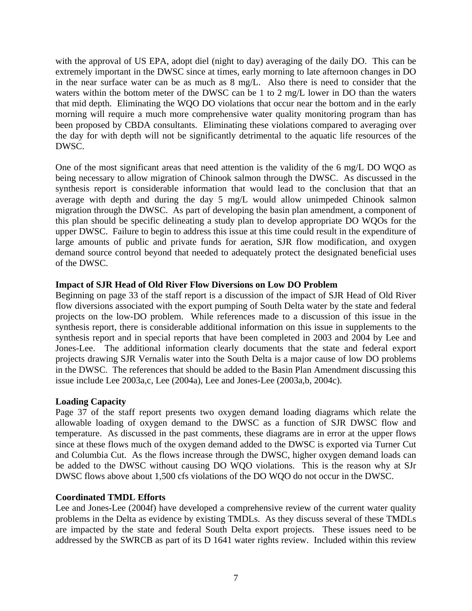with the approval of US EPA, adopt diel (night to day) averaging of the daily DO. This can be extremely important in the DWSC since at times, early morning to late afternoon changes in DO in the near surface water can be as much as 8 mg/L. Also there is need to consider that the waters within the bottom meter of the DWSC can be 1 to 2 mg/L lower in DO than the waters that mid depth. Eliminating the WQO DO violations that occur near the bottom and in the early morning will require a much more comprehensive water quality monitoring program than has been proposed by CBDA consultants. Eliminating these violations compared to averaging over the day for with depth will not be significantly detrimental to the aquatic life resources of the DWSC.

One of the most significant areas that need attention is the validity of the 6 mg/L DO WQO as being necessary to allow migration of Chinook salmon through the DWSC. As discussed in the synthesis report is considerable information that would lead to the conclusion that that an average with depth and during the day 5 mg/L would allow unimpeded Chinook salmon migration through the DWSC. As part of developing the basin plan amendment, a component of this plan should be specific delineating a study plan to develop appropriate DO WQOs for the upper DWSC. Failure to begin to address this issue at this time could result in the expenditure of large amounts of public and private funds for aeration, SJR flow modification, and oxygen demand source control beyond that needed to adequately protect the designated beneficial uses of the DWSC.

## **Impact of SJR Head of Old River Flow Diversions on Low DO Problem**

Beginning on page 33 of the staff report is a discussion of the impact of SJR Head of Old River flow diversions associated with the export pumping of South Delta water by the state and federal projects on the low-DO problem. While references made to a discussion of this issue in the synthesis report, there is considerable additional information on this issue in supplements to the synthesis report and in special reports that have been completed in 2003 and 2004 by Lee and Jones-Lee. The additional information clearly documents that the state and federal export projects drawing SJR Vernalis water into the South Delta is a major cause of low DO problems in the DWSC. The references that should be added to the Basin Plan Amendment discussing this issue include Lee 2003a,c, Lee (2004a), Lee and Jones-Lee (2003a,b, 2004c).

### **Loading Capacity**

Page 37 of the staff report presents two oxygen demand loading diagrams which relate the allowable loading of oxygen demand to the DWSC as a function of SJR DWSC flow and temperature. As discussed in the past comments, these diagrams are in error at the upper flows since at these flows much of the oxygen demand added to the DWSC is exported via Turner Cut and Columbia Cut. As the flows increase through the DWSC, higher oxygen demand loads can be added to the DWSC without causing DO WQO violations. This is the reason why at SJr DWSC flows above about 1,500 cfs violations of the DO WQO do not occur in the DWSC.

### **Coordinated TMDL Efforts**

Lee and Jones-Lee (2004f) have developed a comprehensive review of the current water quality problems in the Delta as evidence by existing TMDLs. As they discuss several of these TMDLs are impacted by the state and federal South Delta export projects. These issues need to be addressed by the SWRCB as part of its D 1641 water rights review. Included within this review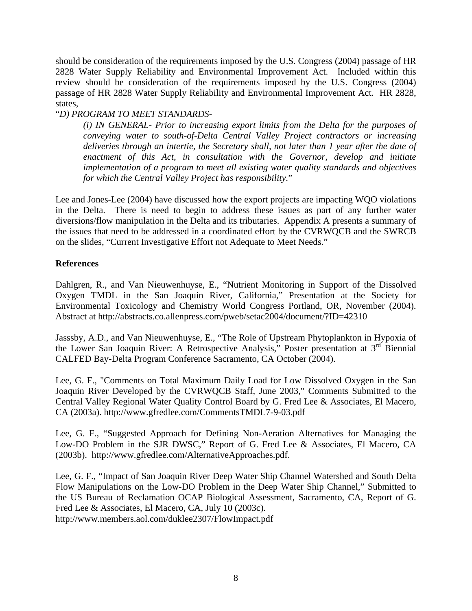should be consideration of the requirements imposed by the U.S. Congress (2004) passage of HR 2828 Water Supply Reliability and Environmental Improvement Act. Included within this review should be consideration of the requirements imposed by the U.S. Congress (2004) passage of HR 2828 Water Supply Reliability and Environmental Improvement Act. HR 2828, states,

## "*D) PROGRAM TO MEET STANDARDS-*

*(i) IN GENERAL- Prior to increasing export limits from the Delta for the purposes of conveying water to south-of-Delta Central Valley Project contractors or increasing deliveries through an intertie, the Secretary shall, not later than 1 year after the date of enactment of this Act, in consultation with the Governor, develop and initiate implementation of a program to meet all existing water quality standards and objectives for which the Central Valley Project has responsibility.*"

Lee and Jones-Lee (2004) have discussed how the export projects are impacting WQO violations in the Delta. There is need to begin to address these issues as part of any further water diversions/flow manipulation in the Delta and its tributaries. Appendix A presents a summary of the issues that need to be addressed in a coordinated effort by the CVRWQCB and the SWRCB on the slides, "Current Investigative Effort not Adequate to Meet Needs."

## **References**

Dahlgren, R., and Van Nieuwenhuyse, E., "Nutrient Monitoring in Support of the Dissolved Oxygen TMDL in the San Joaquin River, California," Presentation at the Society for Environmental Toxicology and Chemistry World Congress Portland, OR, November (2004). Abstract at http://abstracts.co.allenpress.com/pweb/setac2004/document/?ID=42310

Jasssby, A.D., and Van Nieuwenhuyse, E., "The Role of Upstream Phytoplankton in Hypoxia of the Lower San Joaquin River: A Retrospective Analysis," Poster presentation at  $3<sup>rd</sup>$  Biennial CALFED Bay-Delta Program Conference Sacramento, CA October (2004).

Lee, G. F., "Comments on Total Maximum Daily Load for Low Dissolved Oxygen in the San Joaquin River Developed by the CVRWQCB Staff, June 2003," Comments Submitted to the Central Valley Regional Water Quality Control Board by G. Fred Lee & Associates, El Macero, CA (2003a). http://www.gfredlee.com/CommentsTMDL7-9-03.pdf

Lee, G. F., "Suggested Approach for Defining Non-Aeration Alternatives for Managing the Low-DO Problem in the SJR DWSC," Report of G. Fred Lee & Associates, El Macero, CA (2003b). http://www.gfredlee.com/AlternativeApproaches.pdf.

Lee, G. F., "Impact of San Joaquin River Deep Water Ship Channel Watershed and South Delta Flow Manipulations on the Low-DO Problem in the Deep Water Ship Channel," Submitted to the US Bureau of Reclamation OCAP Biological Assessment, Sacramento, CA, Report of G. Fred Lee & Associates, El Macero, CA, July 10 (2003c). http://www.members.aol.com/duklee2307/FlowImpact.pdf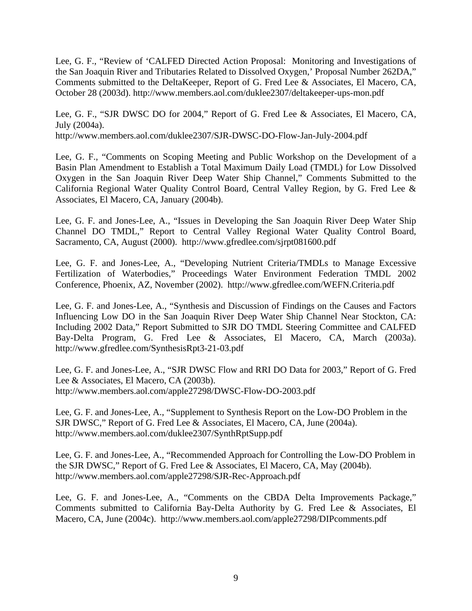Lee, G. F., "Review of 'CALFED Directed Action Proposal: Monitoring and Investigations of the San Joaquin River and Tributaries Related to Dissolved Oxygen,' Proposal Number 262DA," Comments submitted to the DeltaKeeper, Report of G. Fred Lee & Associates, El Macero, CA, October 28 (2003d). http://www.members.aol.com/duklee2307/deltakeeper-ups-mon.pdf

Lee, G. F., "SJR DWSC DO for 2004," Report of G. Fred Lee & Associates, El Macero, CA, July (2004a). http://www.members.aol.com/duklee2307/SJR-DWSC-DO-Flow-Jan-July-2004.pdf

Lee, G. F., "Comments on Scoping Meeting and Public Workshop on the Development of a Basin Plan Amendment to Establish a Total Maximum Daily Load (TMDL) for Low Dissolved Oxygen in the San Joaquin River Deep Water Ship Channel," Comments Submitted to the California Regional Water Quality Control Board, Central Valley Region, by G. Fred Lee & Associates, El Macero, CA, January (2004b).

Lee, G. F. and Jones-Lee, A., "Issues in Developing the San Joaquin River Deep Water Ship Channel DO TMDL," Report to Central Valley Regional Water Quality Control Board, Sacramento, CA, August (2000). http://www.gfredlee.com/sjrpt081600.pdf

Lee, G. F. and Jones-Lee, A., "Developing Nutrient Criteria/TMDLs to Manage Excessive Fertilization of Waterbodies," Proceedings Water Environment Federation TMDL 2002 Conference, Phoenix, AZ, November (2002). http://www.gfredlee.com/WEFN.Criteria.pdf

Lee, G. F. and Jones-Lee, A., "Synthesis and Discussion of Findings on the Causes and Factors Influencing Low DO in the San Joaquin River Deep Water Ship Channel Near Stockton, CA: Including 2002 Data," Report Submitted to SJR DO TMDL Steering Committee and CALFED Bay-Delta Program, G. Fred Lee & Associates, El Macero, CA, March (2003a). http://www.gfredlee.com/SynthesisRpt3-21-03.pdf

Lee, G. F. and Jones-Lee, A., "SJR DWSC Flow and RRI DO Data for 2003," Report of G. Fred Lee & Associates, El Macero, CA (2003b). http://www.members.aol.com/apple27298/DWSC-Flow-DO-2003.pdf

Lee, G. F. and Jones-Lee, A., "Supplement to Synthesis Report on the Low-DO Problem in the SJR DWSC," Report of G. Fred Lee & Associates, El Macero, CA, June (2004a). http://www.members.aol.com/duklee2307/SynthRptSupp.pdf

Lee, G. F. and Jones-Lee, A., "Recommended Approach for Controlling the Low-DO Problem in the SJR DWSC," Report of G. Fred Lee & Associates, El Macero, CA, May (2004b). http://www.members.aol.com/apple27298/SJR-Rec-Approach.pdf

Lee, G. F. and Jones-Lee, A., "Comments on the CBDA Delta Improvements Package," Comments submitted to California Bay-Delta Authority by G. Fred Lee & Associates, El Macero, CA, June (2004c). http://www.members.aol.com/apple27298/DIPcomments.pdf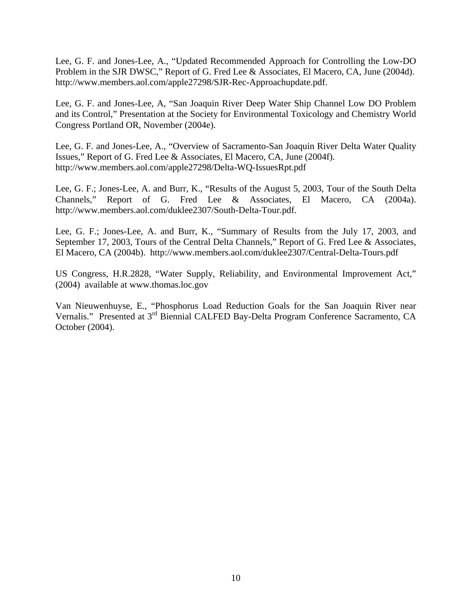Lee, G. F. and Jones-Lee, A., "Updated Recommended Approach for Controlling the Low-DO Problem in the SJR DWSC," Report of G. Fred Lee & Associates, El Macero, CA, June (2004d). http://www.members.aol.com/apple27298/SJR-Rec-Approachupdate.pdf.

Lee, G. F. and Jones-Lee, A, "San Joaquin River Deep Water Ship Channel Low DO Problem and its Control," Presentation at the Society for Environmental Toxicology and Chemistry World Congress Portland OR, November (2004e).

Lee, G. F. and Jones-Lee, A., "Overview of Sacramento-San Joaquin River Delta Water Quality Issues," Report of G. Fred Lee & Associates, El Macero, CA, June (2004f). http://www.members.aol.com/apple27298/Delta-WQ-IssuesRpt.pdf

Lee, G. F.; Jones-Lee, A. and Burr, K., "Results of the August 5, 2003, Tour of the South Delta Channels," Report of G. Fred Lee & Associates, El Macero, CA (2004a). http://www.members.aol.com/duklee2307/South-Delta-Tour.pdf.

Lee, G. F.; Jones-Lee, A. and Burr, K., "Summary of Results from the July 17, 2003, and September 17, 2003, Tours of the Central Delta Channels," Report of G. Fred Lee & Associates, El Macero, CA (2004b). http://www.members.aol.com/duklee2307/Central-Delta-Tours.pdf

US Congress, H.R.2828, "Water Supply, Reliability, and Environmental Improvement Act," (2004) available at www.thomas.loc.gov

Van Nieuwenhuyse, E., "Phosphorus Load Reduction Goals for the San Joaquin River near Vernalis." Presented at 3rd Biennial CALFED Bay-Delta Program Conference Sacramento, CA October (2004).